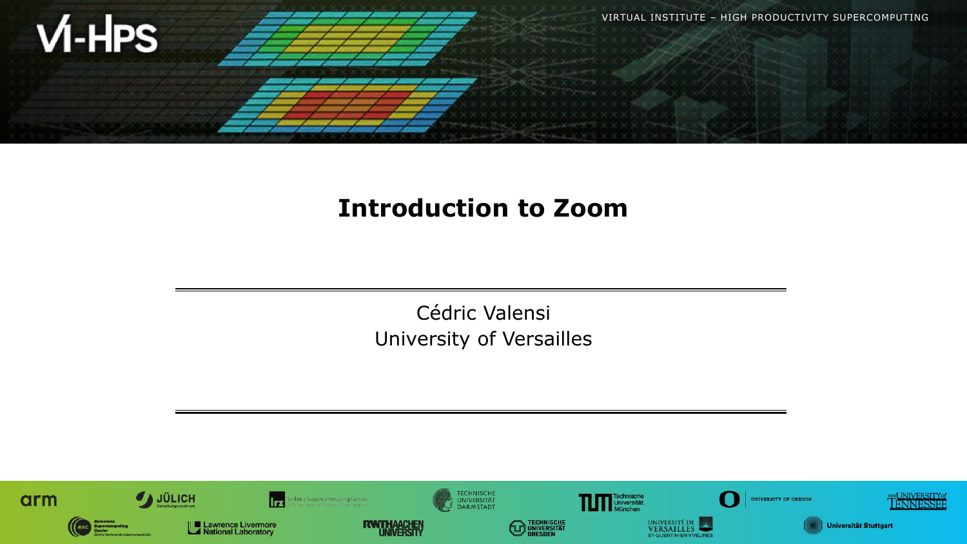

### **Introduction to Zoom**

Cédric Valensi University of Versailles

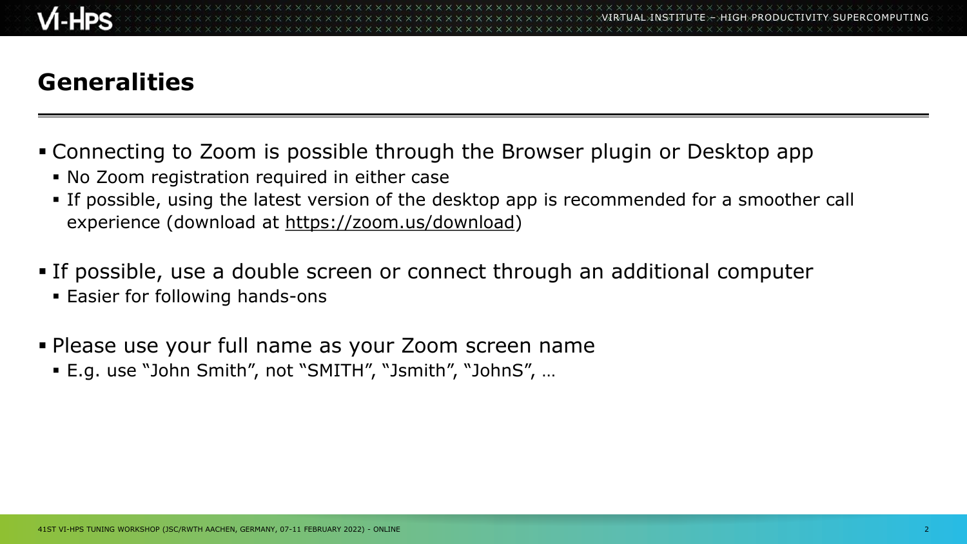# **Generalities**

- Connecting to Zoom is possible through the Browser plugin or Desktop app
	- No Zoom registration required in either case
	- **•** If possible, using the latest version of the desktop app is recommended for a smoother call experience (download at [https://zoom.us/download\)](https://zoom.us/download)
- **If possible, use a double screen or connect through an additional computer** 
	- **Easier for following hands-ons**
- **.** Please use your full name as your Zoom screen name
	- E.g. use "John Smith", not "SMITH", "Jsmith", "JohnS", …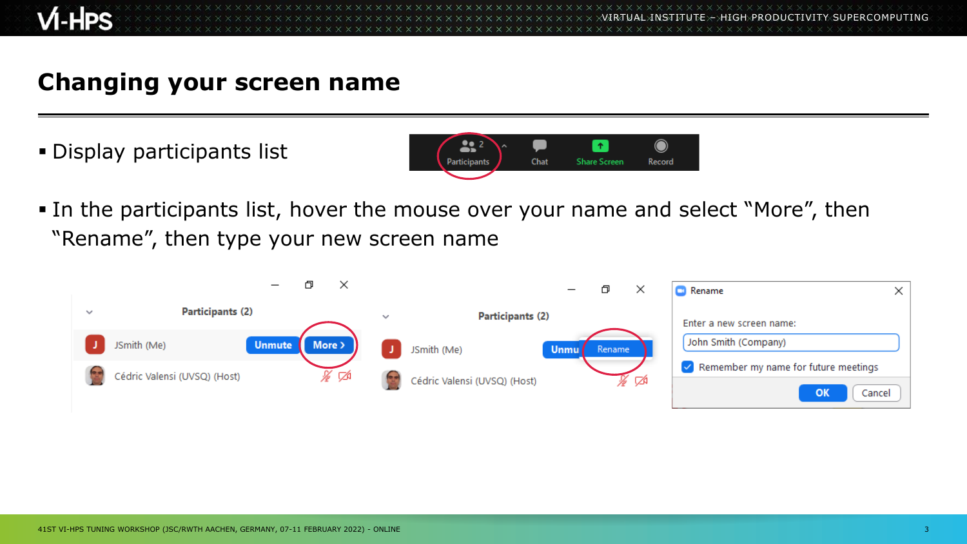**XXXXXXXXXXXX** VIRTUAL INSTITUTE – HIGH PRODUCTIVITY SUPERCOMPUTING

### **Changing your screen name**

**.** Display participants list



**.** In the participants list, hover the mouse over your name and select "More", then "Rename", then type your new screen name

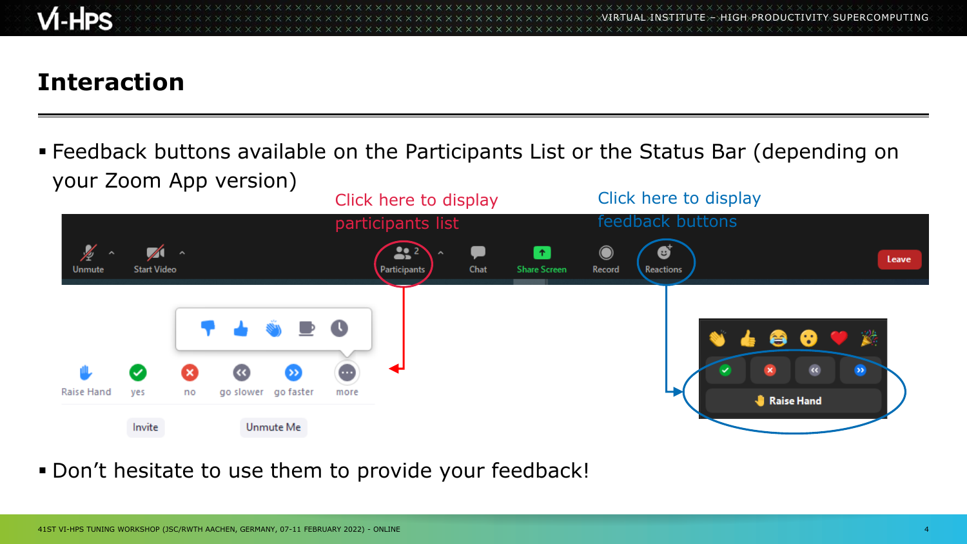

## **Interaction**

▪ Feedback buttons available on the Participants List or the Status Bar (depending on your Zoom App version)



**.** Don't hesitate to use them to provide your feedback!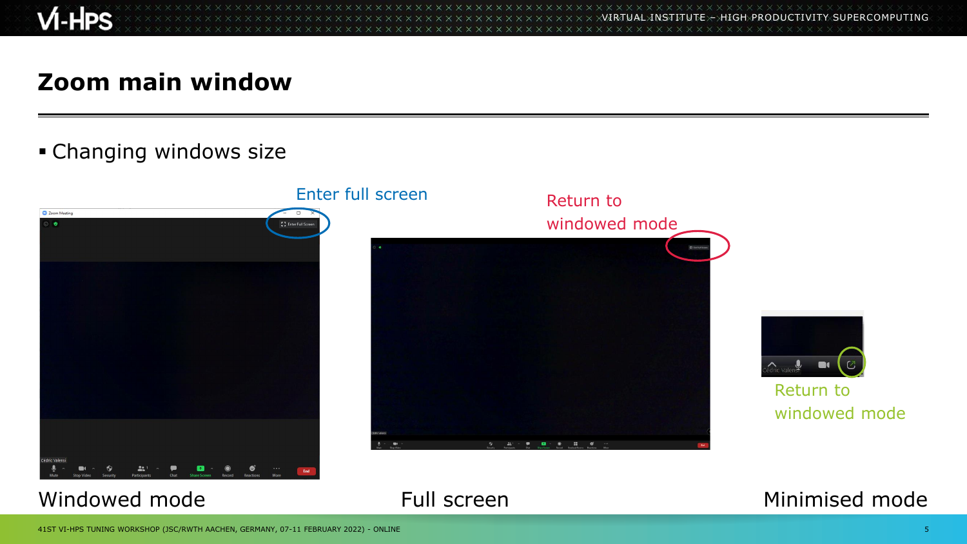

xxxxxxxxxxxxxxxxxxxxxxxxxxxxxxxxxx VIRTUAL INSTITUTE – HIGH PRODUCTIVITY SUPERCOMPUTING xxxxxxxxxxxxxxxxxxxxxxxxxxxxxx

### **Zoom main window**

#### **• Changing windows size**



#### Windowed mode **Full screen** Full screen Minimised mode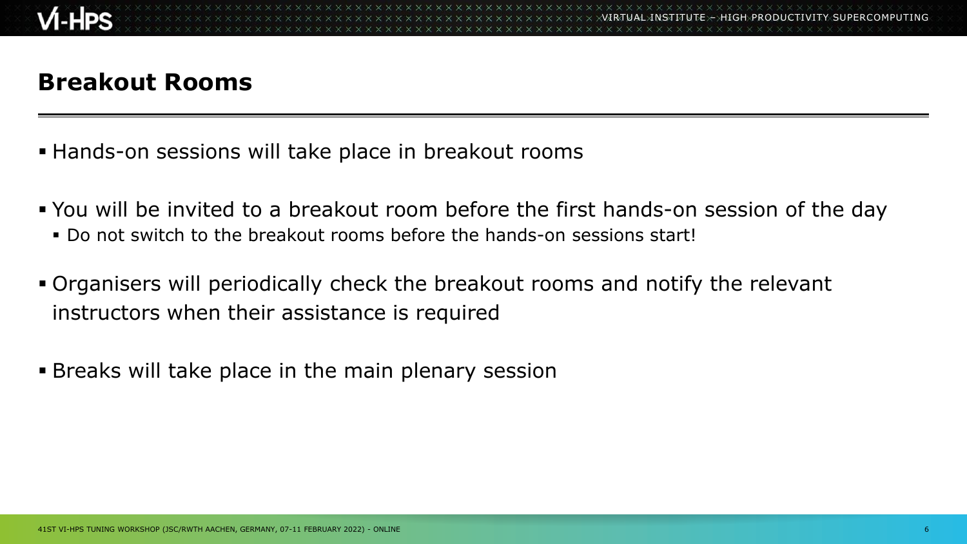## **Breakout Rooms**

- **EXA** Hands-on sessions will take place in breakout rooms
- You will be invited to a breakout room before the first hands-on session of the day ▪ Do not switch to the breakout rooms before the hands-on sessions start!
- Organisers will periodically check the breakout rooms and notify the relevant instructors when their assistance is required
- **Breaks will take place in the main plenary session**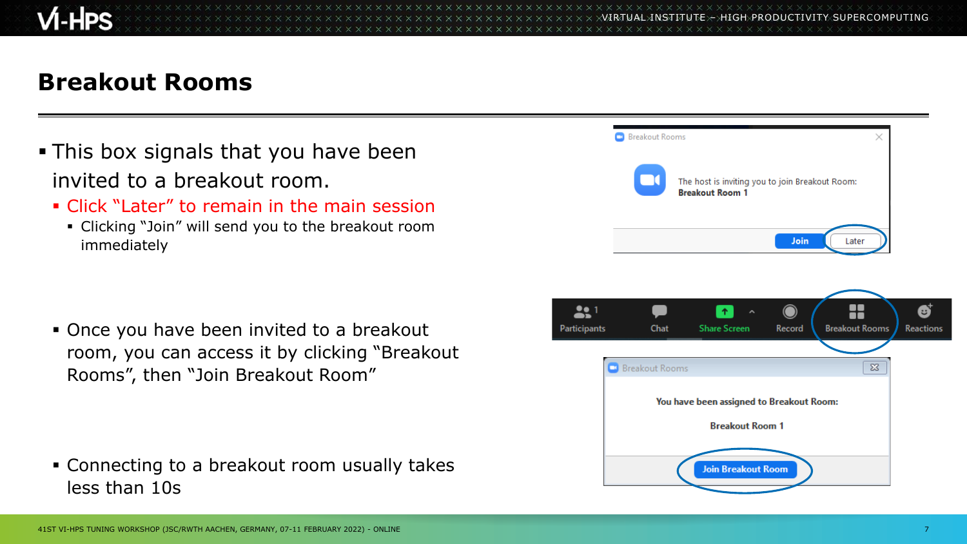VIRTUAL INSTITUTE – HIGH PRODUCTIVITY SUPERCOMPUTING

### **Breakout Rooms**

- **This box signals that you have been** invited to a breakout room.
	- Click "Later" to remain in the main session
		- Clicking "Join" will send you to the breakout room immediately

■ Once you have been invited to a breakout room, you can access it by clicking "Breakout Rooms", then "Join Breakout Room"

▪ Connecting to a breakout room usually takes less than 10s



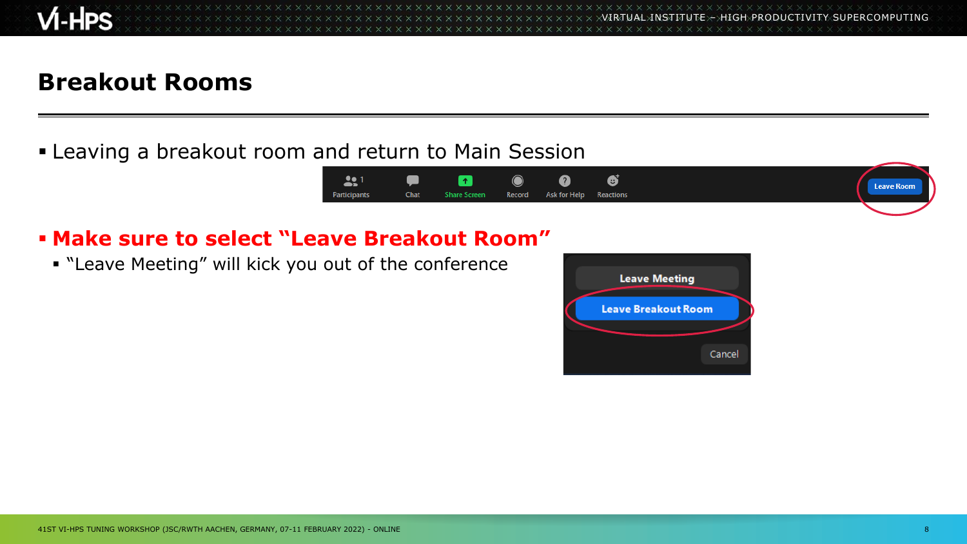**x x x x x x x x x x x x x x** VIRTUAL INSTITUTE – HIGH PRODUCTIVITY SUPERCOMPUTING

### **Breakout Rooms**

**ELEAVING A SET AND LEAK LEAK COM AND FIGURE IS A LEAK CONCOCO ESSECT** 



#### ▪ **Make sure to select "Leave Breakout Room"**

▪ "Leave Meeting" will kick you out of the conference

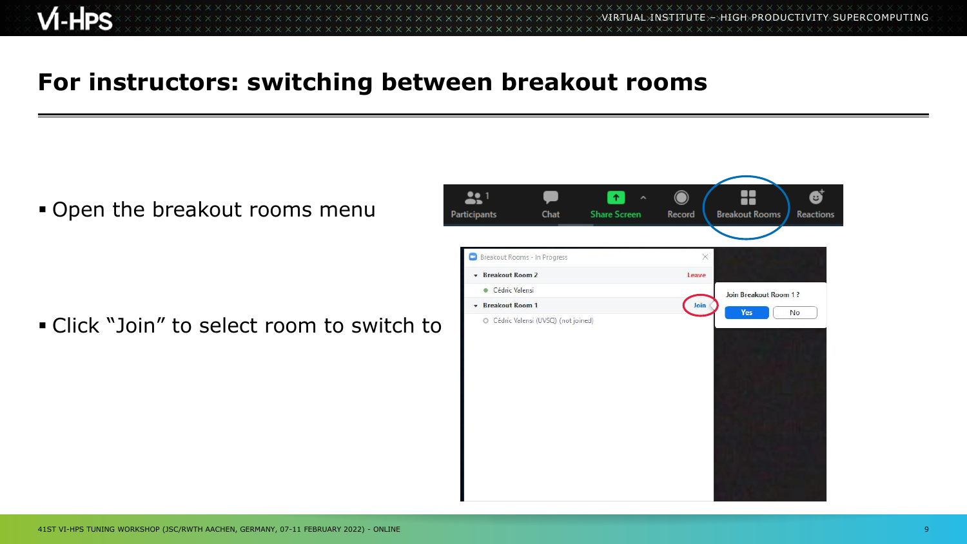VIRTUAL INSTITUTE – HIGH PRODUCTIVITY SUPERCOMPUTING

### **For instructors: switching between breakout rooms**

**.** Open the breakout rooms menu

▪ Click "Join" to select room to switch to

| 221                          |      | $\,$ $\,$<br>$\hat{\phantom{a}}$ | $\bigcirc$ |                                    |
|------------------------------|------|----------------------------------|------------|------------------------------------|
| Participants                 | Chat | <b>Share Screen</b>              | Record     | <b>Breakout Rooms</b><br>Reactions |
| Breakout Rooms - In Progress |      |                                  | $\times$   |                                    |
| Breakout Room 2              |      |                                  | Leave      |                                    |
| · Cédric Valensi             |      |                                  |            | Join Breakout Room 1?              |
| Breakout Room 1              |      |                                  | Join       | Yes<br>No                          |
|                              |      |                                  |            |                                    |
|                              |      |                                  |            |                                    |
|                              |      |                                  |            |                                    |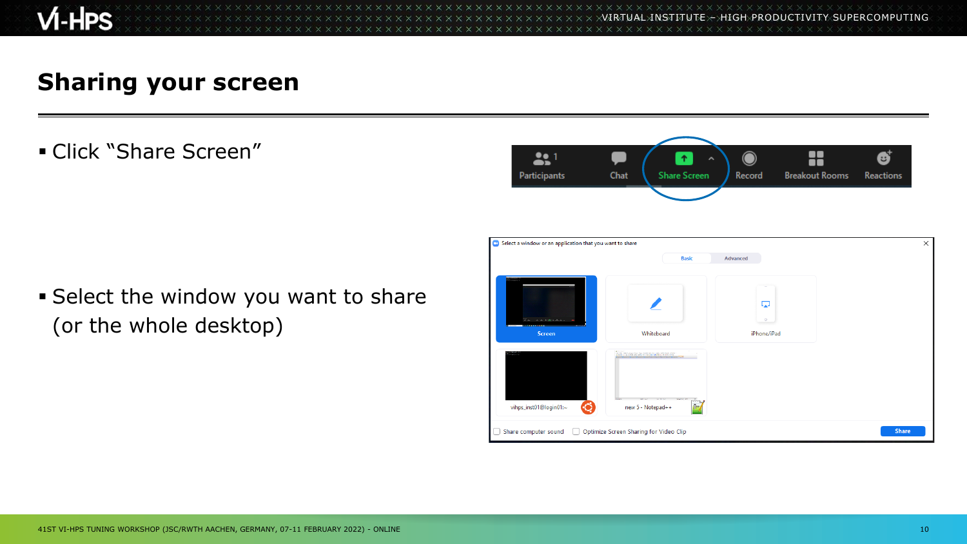

VIRTUAL INSTITUTE – HIGH PRODUCTIVITY SUPERCOMPUTING x x x x x x x x x x

#### **Sharing your screen**

**E** Click "Share Screen"



**Example 2 Select the window you want to share** (or the whole desktop)

| Select a window or an application that you want to share |                                                                                                                                                                                                                                                                     |               | ×            |
|----------------------------------------------------------|---------------------------------------------------------------------------------------------------------------------------------------------------------------------------------------------------------------------------------------------------------------------|---------------|--------------|
|                                                          | <b>Basic</b>                                                                                                                                                                                                                                                        | Advanced      |              |
| The control application of                               |                                                                                                                                                                                                                                                                     | Ę.<br>$\circ$ |              |
| <b>Screen</b>                                            | Whiteboard                                                                                                                                                                                                                                                          | iPhone/iPad   |              |
| <b>A MALASKA</b><br>vihps_inst01@login01:~               | $\begin{array}{ll} \text{In the case of the first case, and so, we have a point of the second case.} \\ \text{In the case of the second case, we have a point of the second case.} \end{array}$<br>Gas 1<br><b>MARK AN</b><br>new 5 - Notepad++<br>f <del>l++</del> |               |              |
| Share computer sound<br>$\Box$                           | Optimize Screen Sharing for Video Clip                                                                                                                                                                                                                              |               | <b>Share</b> |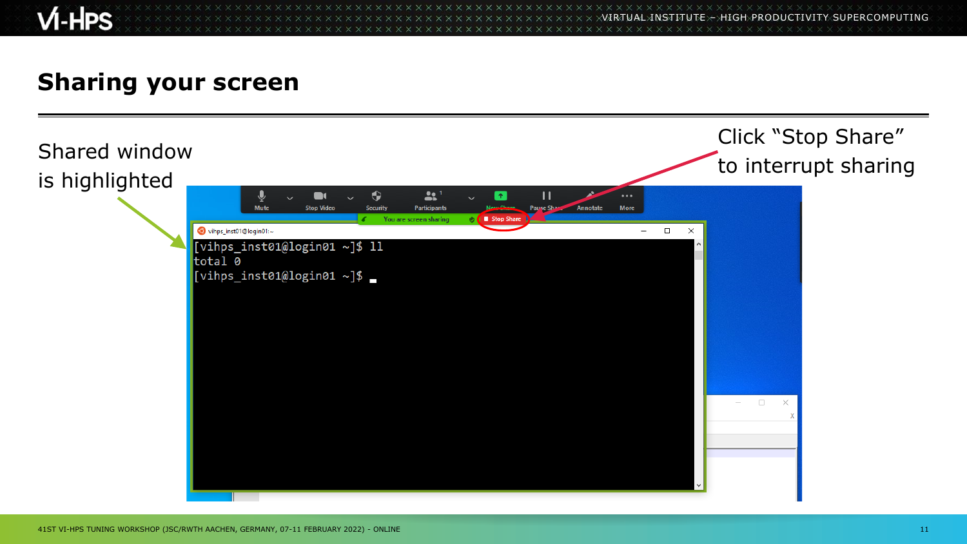# $M-HPS$

**XXXXXXXXXXXX** VIRTUAL INSTITUTE – HIGH PRODUCTIVITY SUPERCOMPUTING

### **Sharing your screen**